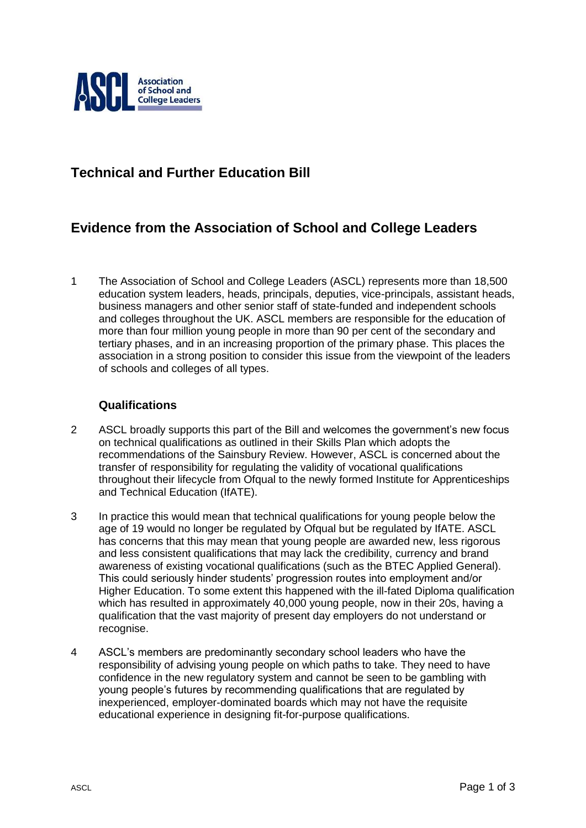

## **Technical and Further Education Bill**

## **Evidence from the Association of School and College Leaders**

1 The Association of School and College Leaders (ASCL) represents more than 18,500 education system leaders, heads, principals, deputies, vice-principals, assistant heads, business managers and other senior staff of state-funded and independent schools and colleges throughout the UK. ASCL members are responsible for the education of more than four million young people in more than 90 per cent of the secondary and tertiary phases, and in an increasing proportion of the primary phase. This places the association in a strong position to consider this issue from the viewpoint of the leaders of schools and colleges of all types.

## **Qualifications**

- 2 ASCL broadly supports this part of the Bill and welcomes the government's new focus on technical qualifications as outlined in their Skills Plan which adopts the recommendations of the Sainsbury Review. However, ASCL is concerned about the transfer of responsibility for regulating the validity of vocational qualifications throughout their lifecycle from Ofqual to the newly formed Institute for Apprenticeships and Technical Education (IfATE).
- 3 In practice this would mean that technical qualifications for young people below the age of 19 would no longer be regulated by Ofqual but be regulated by IfATE. ASCL has concerns that this may mean that young people are awarded new, less rigorous and less consistent qualifications that may lack the credibility, currency and brand awareness of existing vocational qualifications (such as the BTEC Applied General). This could seriously hinder students' progression routes into employment and/or Higher Education. To some extent this happened with the ill-fated Diploma qualification which has resulted in approximately 40,000 young people, now in their 20s, having a qualification that the vast majority of present day employers do not understand or recognise.
- 4 ASCL's members are predominantly secondary school leaders who have the responsibility of advising young people on which paths to take. They need to have confidence in the new regulatory system and cannot be seen to be gambling with young people's futures by recommending qualifications that are regulated by inexperienced, employer-dominated boards which may not have the requisite educational experience in designing fit-for-purpose qualifications.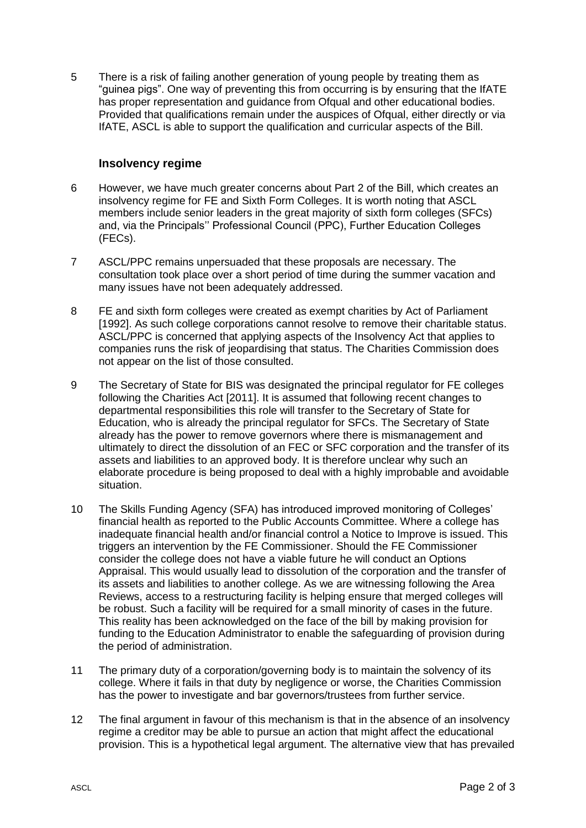5 There is a risk of failing another generation of young people by treating them as "guinea pigs". One way of preventing this from occurring is by ensuring that the IfATE has proper representation and guidance from Ofqual and other educational bodies. Provided that qualifications remain under the auspices of Ofqual, either directly or via IfATE, ASCL is able to support the qualification and curricular aspects of the Bill.

## **Insolvency regime**

- 6 However, we have much greater concerns about Part 2 of the Bill, which creates an insolvency regime for FE and Sixth Form Colleges. It is worth noting that ASCL members include senior leaders in the great majority of sixth form colleges (SFCs) and, via the Principals'' Professional Council (PPC), Further Education Colleges (FECs).
- 7 ASCL/PPC remains unpersuaded that these proposals are necessary. The consultation took place over a short period of time during the summer vacation and many issues have not been adequately addressed.
- 8 FE and sixth form colleges were created as exempt charities by Act of Parliament [1992]. As such college corporations cannot resolve to remove their charitable status. ASCL/PPC is concerned that applying aspects of the Insolvency Act that applies to companies runs the risk of jeopardising that status. The Charities Commission does not appear on the list of those consulted.
- 9 The Secretary of State for BIS was designated the principal regulator for FE colleges following the Charities Act [2011]. It is assumed that following recent changes to departmental responsibilities this role will transfer to the Secretary of State for Education, who is already the principal regulator for SFCs. The Secretary of State already has the power to remove governors where there is mismanagement and ultimately to direct the dissolution of an FEC or SFC corporation and the transfer of its assets and liabilities to an approved body. It is therefore unclear why such an elaborate procedure is being proposed to deal with a highly improbable and avoidable situation.
- 10 The Skills Funding Agency (SFA) has introduced improved monitoring of Colleges' financial health as reported to the Public Accounts Committee. Where a college has inadequate financial health and/or financial control a Notice to Improve is issued. This triggers an intervention by the FE Commissioner. Should the FE Commissioner consider the college does not have a viable future he will conduct an Options Appraisal. This would usually lead to dissolution of the corporation and the transfer of its assets and liabilities to another college. As we are witnessing following the Area Reviews, access to a restructuring facility is helping ensure that merged colleges will be robust. Such a facility will be required for a small minority of cases in the future. This reality has been acknowledged on the face of the bill by making provision for funding to the Education Administrator to enable the safeguarding of provision during the period of administration.
- 11 The primary duty of a corporation/governing body is to maintain the solvency of its college. Where it fails in that duty by negligence or worse, the Charities Commission has the power to investigate and bar governors/trustees from further service.
- 12 The final argument in favour of this mechanism is that in the absence of an insolvency regime a creditor may be able to pursue an action that might affect the educational provision. This is a hypothetical legal argument. The alternative view that has prevailed